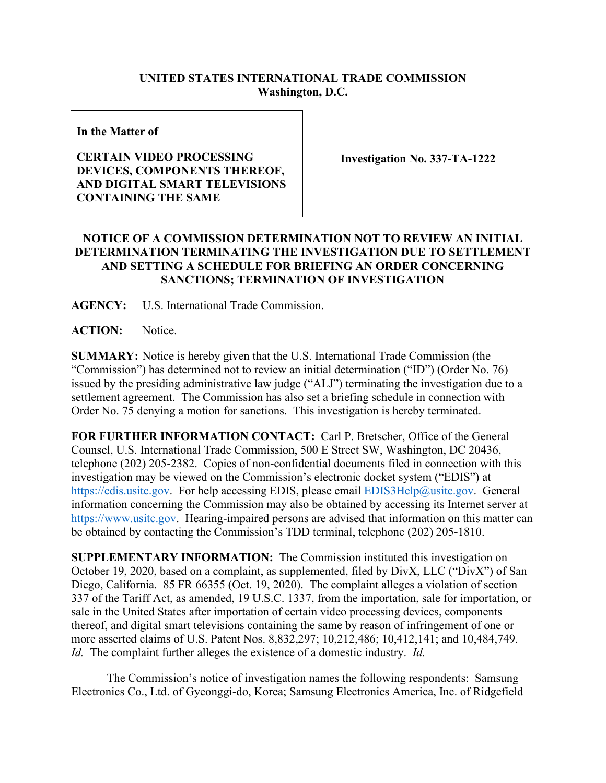## **UNITED STATES INTERNATIONAL TRADE COMMISSION Washington, D.C.**

**In the Matter of**

## **CERTAIN VIDEO PROCESSING DEVICES, COMPONENTS THEREOF, AND DIGITAL SMART TELEVISIONS CONTAINING THE SAME**

**Investigation No. 337-TA-1222** 

## **NOTICE OF A COMMISSION DETERMINATION NOT TO REVIEW AN INITIAL DETERMINATION TERMINATING THE INVESTIGATION DUE TO SETTLEMENT AND SETTING A SCHEDULE FOR BRIEFING AN ORDER CONCERNING SANCTIONS; TERMINATION OF INVESTIGATION**

**AGENCY:** U.S. International Trade Commission.

**ACTION:** Notice.

**SUMMARY:** Notice is hereby given that the U.S. International Trade Commission (the "Commission") has determined not to review an initial determination ("ID") (Order No. 76) issued by the presiding administrative law judge ("ALJ") terminating the investigation due to a settlement agreement. The Commission has also set a briefing schedule in connection with Order No. 75 denying a motion for sanctions. This investigation is hereby terminated.

**FOR FURTHER INFORMATION CONTACT:** Carl P. Bretscher, Office of the General Counsel, U.S. International Trade Commission, 500 E Street SW, Washington, DC 20436, telephone (202) 205-2382. Copies of non-confidential documents filed in connection with this investigation may be viewed on the Commission's electronic docket system ("EDIS") at [https://edis.usitc.gov.](https://edis.usitc.gov/) For help accessing EDIS, please email [EDIS3Help@usitc.gov.](mailto:EDIS3Help@usitc.gov) General information concerning the Commission may also be obtained by accessing its Internet server at [https://www.usitc.gov.](https://www.usitc.gov/) Hearing-impaired persons are advised that information on this matter can be obtained by contacting the Commission's TDD terminal, telephone (202) 205-1810.

**SUPPLEMENTARY INFORMATION:** The Commission instituted this investigation on October 19, 2020, based on a complaint, as supplemented, filed by DivX, LLC ("DivX") of San Diego, California. 85 FR 66355 (Oct. 19, 2020). The complaint alleges a violation of section 337 of the Tariff Act, as amended, 19 U.S.C. 1337, from the importation, sale for importation, or sale in the United States after importation of certain video processing devices, components thereof, and digital smart televisions containing the same by reason of infringement of one or more asserted claims of U.S. Patent Nos. 8,832,297; 10,212,486; 10,412,141; and 10,484,749. *Id.* The complaint further alleges the existence of a domestic industry. *Id.*

The Commission's notice of investigation names the following respondents: Samsung Electronics Co., Ltd. of Gyeonggi-do, Korea; Samsung Electronics America, Inc. of Ridgefield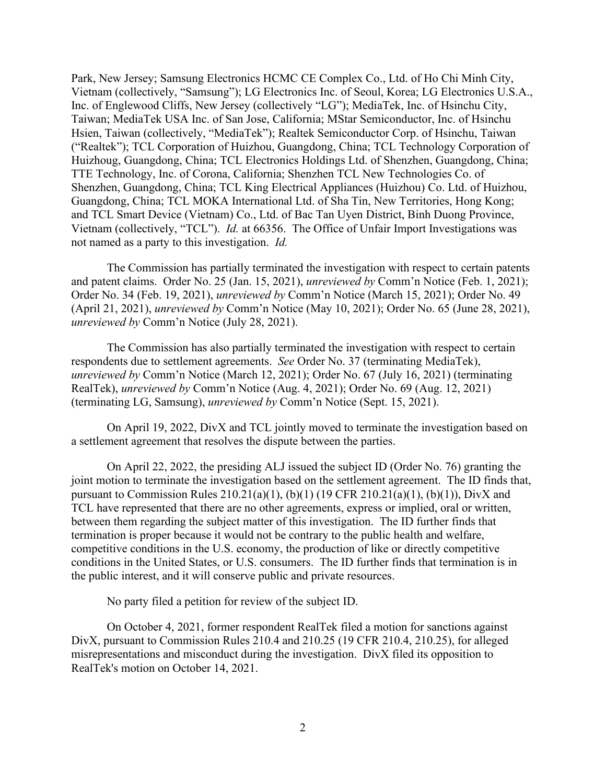Park, New Jersey; Samsung Electronics HCMC CE Complex Co., Ltd. of Ho Chi Minh City, Vietnam (collectively, "Samsung"); LG Electronics Inc. of Seoul, Korea; LG Electronics U.S.A., Inc. of Englewood Cliffs, New Jersey (collectively "LG"); MediaTek, Inc. of Hsinchu City, Taiwan; MediaTek USA Inc. of San Jose, California; MStar Semiconductor, Inc. of Hsinchu Hsien, Taiwan (collectively, "MediaTek"); Realtek Semiconductor Corp. of Hsinchu, Taiwan ("Realtek"); TCL Corporation of Huizhou, Guangdong, China; TCL Technology Corporation of Huizhoug, Guangdong, China; TCL Electronics Holdings Ltd. of Shenzhen, Guangdong, China; TTE Technology, Inc. of Corona, California; Shenzhen TCL New Technologies Co. of Shenzhen, Guangdong, China; TCL King Electrical Appliances (Huizhou) Co. Ltd. of Huizhou, Guangdong, China; TCL MOKA International Ltd. of Sha Tin, New Territories, Hong Kong; and TCL Smart Device (Vietnam) Co., Ltd. of Bac Tan Uyen District, Binh Duong Province, Vietnam (collectively, "TCL"). *Id.* at 66356. The Office of Unfair Import Investigations was not named as a party to this investigation. *Id.*

The Commission has partially terminated the investigation with respect to certain patents and patent claims. Order No. 25 (Jan. 15, 2021), *unreviewed by* Comm'n Notice (Feb. 1, 2021); Order No. 34 (Feb. 19, 2021), *unreviewed by* Comm'n Notice (March 15, 2021); Order No. 49 (April 21, 2021), *unreviewed by* Comm'n Notice (May 10, 2021); Order No. 65 (June 28, 2021), *unreviewed by* Comm'n Notice (July 28, 2021).

The Commission has also partially terminated the investigation with respect to certain respondents due to settlement agreements. *See* Order No. 37 (terminating MediaTek), *unreviewed by* Comm'n Notice (March 12, 2021); Order No. 67 (July 16, 2021) (terminating RealTek), *unreviewed by* Comm'n Notice (Aug. 4, 2021); Order No. 69 (Aug. 12, 2021) (terminating LG, Samsung), *unreviewed by* Comm'n Notice (Sept. 15, 2021).

On April 19, 2022, DivX and TCL jointly moved to terminate the investigation based on a settlement agreement that resolves the dispute between the parties.

On April 22, 2022, the presiding ALJ issued the subject ID (Order No. 76) granting the joint motion to terminate the investigation based on the settlement agreement. The ID finds that, pursuant to Commission Rules 210.21(a)(1), (b)(1) (19 CFR 210.21(a)(1), (b)(1)), DivX and TCL have represented that there are no other agreements, express or implied, oral or written, between them regarding the subject matter of this investigation. The ID further finds that termination is proper because it would not be contrary to the public health and welfare, competitive conditions in the U.S. economy, the production of like or directly competitive conditions in the United States, or U.S. consumers. The ID further finds that termination is in the public interest, and it will conserve public and private resources.

No party filed a petition for review of the subject ID.

On October 4, 2021, former respondent RealTek filed a motion for sanctions against DivX, pursuant to Commission Rules 210.4 and 210.25 (19 CFR 210.4, 210.25), for alleged misrepresentations and misconduct during the investigation. DivX filed its opposition to RealTek's motion on October 14, 2021.